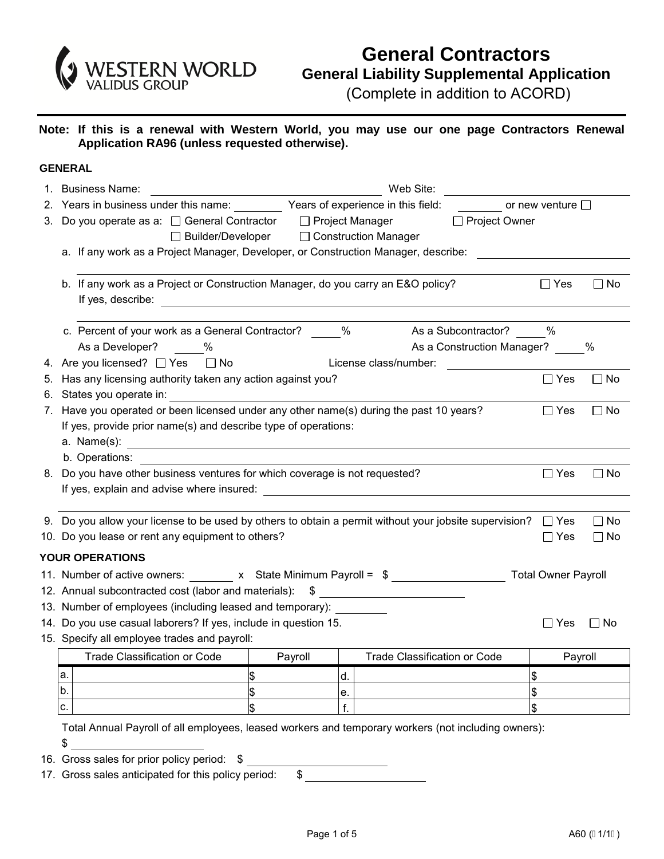

**Note: If this is a renewal with Western World, you may use our one page Contractors Renewal Application RA96 (unless requested otherwise).** 

## **GENERAL**

|    | 1. Business Name:                                                                                                                                                                                                              |         | Web Site:                                  |                            |               |           |  |  |  |
|----|--------------------------------------------------------------------------------------------------------------------------------------------------------------------------------------------------------------------------------|---------|--------------------------------------------|----------------------------|---------------|-----------|--|--|--|
|    | 2. Years in business under this name: Years of experience in this field:                                                                                                                                                       |         |                                            | or new venture $\square$   |               |           |  |  |  |
| 3. | Do you operate as a: □ General Contractor □ Project Manager                                                                                                                                                                    |         |                                            | □ Project Owner            |               |           |  |  |  |
|    |                                                                                                                                                                                                                                |         | □ Builder/Developer □ Construction Manager |                            |               |           |  |  |  |
|    | a. If any work as a Project Manager, Developer, or Construction Manager, describe:                                                                                                                                             |         |                                            |                            |               |           |  |  |  |
|    |                                                                                                                                                                                                                                |         |                                            |                            |               |           |  |  |  |
|    | b. If any work as a Project or Construction Manager, do you carry an E&O policy?                                                                                                                                               |         |                                            |                            | $\Box$ Yes    | $\Box$ No |  |  |  |
|    |                                                                                                                                                                                                                                |         |                                            |                            |               |           |  |  |  |
|    | c. Percent of your work as a General Contractor? 6 [64] West May As a Subcontractor? 6 [64] West Contractor & Subcontractor? 6 [64] West Contractor & Subcontractor? 6 [64] West Contractor & Subcontractor? 6 [64] West Contr |         |                                            |                            |               |           |  |  |  |
|    | As a Developer? %                                                                                                                                                                                                              |         |                                            | As a Construction Manager? |               | %         |  |  |  |
|    | 4. Are you licensed? □ Yes □ No                                                                                                                                                                                                |         | License class/number:                      |                            |               |           |  |  |  |
| 5. | Has any licensing authority taken any action against you?                                                                                                                                                                      |         |                                            |                            | $\Box$ Yes    | $\Box$ No |  |  |  |
| 6. | States you operate in:                                                                                                                                                                                                         |         |                                            |                            |               |           |  |  |  |
| 7. | Have you operated or been licensed under any other name(s) during the past 10 years?                                                                                                                                           |         |                                            |                            | $\Box$ Yes    | $\Box$ No |  |  |  |
|    | If yes, provide prior name(s) and describe type of operations:                                                                                                                                                                 |         |                                            |                            |               |           |  |  |  |
|    | a. Name(s): $\qquad \qquad$                                                                                                                                                                                                    |         |                                            |                            |               |           |  |  |  |
|    | b. Operations:                                                                                                                                                                                                                 |         |                                            |                            |               |           |  |  |  |
|    | 8. Do you have other business ventures for which coverage is not requested?                                                                                                                                                    |         |                                            |                            | $\Box$ Yes    | $\Box$ No |  |  |  |
|    |                                                                                                                                                                                                                                |         |                                            |                            |               |           |  |  |  |
|    |                                                                                                                                                                                                                                |         |                                            |                            |               |           |  |  |  |
|    | 9. Do you allow your license to be used by others to obtain a permit without your jobsite supervision? $\Box$ Yes                                                                                                              |         |                                            |                            |               | $\Box$ No |  |  |  |
|    | 10. Do you lease or rent any equipment to others?                                                                                                                                                                              |         |                                            |                            | $\Box$ Yes    | $\Box$ No |  |  |  |
|    | <b>YOUR OPERATIONS</b>                                                                                                                                                                                                         |         |                                            |                            |               |           |  |  |  |
|    | 11. Number of active owners: x State Minimum Payroll = \$ ________________________ Total Owner Payroll                                                                                                                         |         |                                            |                            |               |           |  |  |  |
|    | 12. Annual subcontracted cost (labor and materials): \$                                                                                                                                                                        |         |                                            |                            |               |           |  |  |  |
|    | 13. Number of employees (including leased and temporary):                                                                                                                                                                      |         |                                            |                            |               |           |  |  |  |
|    | 14. Do you use casual laborers? If yes, include in question 15.                                                                                                                                                                |         |                                            |                            | $\Box$ Yes    | $\Box$ No |  |  |  |
|    | 15. Specify all employee trades and payroll:                                                                                                                                                                                   |         |                                            |                            |               |           |  |  |  |
|    | <b>Trade Classification or Code</b>                                                                                                                                                                                            | Payroll | <b>Trade Classification or Code</b>        |                            | Payroll       |           |  |  |  |
|    | a.                                                                                                                                                                                                                             |         | d.                                         |                            | \$            |           |  |  |  |
|    |                                                                                                                                                                                                                                |         |                                            |                            |               |           |  |  |  |
|    | b.                                                                                                                                                                                                                             |         | е.                                         |                            | \$            |           |  |  |  |
|    | c.                                                                                                                                                                                                                             |         | f.                                         |                            | $\frac{1}{2}$ |           |  |  |  |
|    | Total Annual Payroll of all employees, leased workers and temporary workers (not including owners):                                                                                                                            |         |                                            |                            |               |           |  |  |  |

- 16. Gross sales for prior policy period: \$
- 17. Gross sales anticipated for this policy period: \$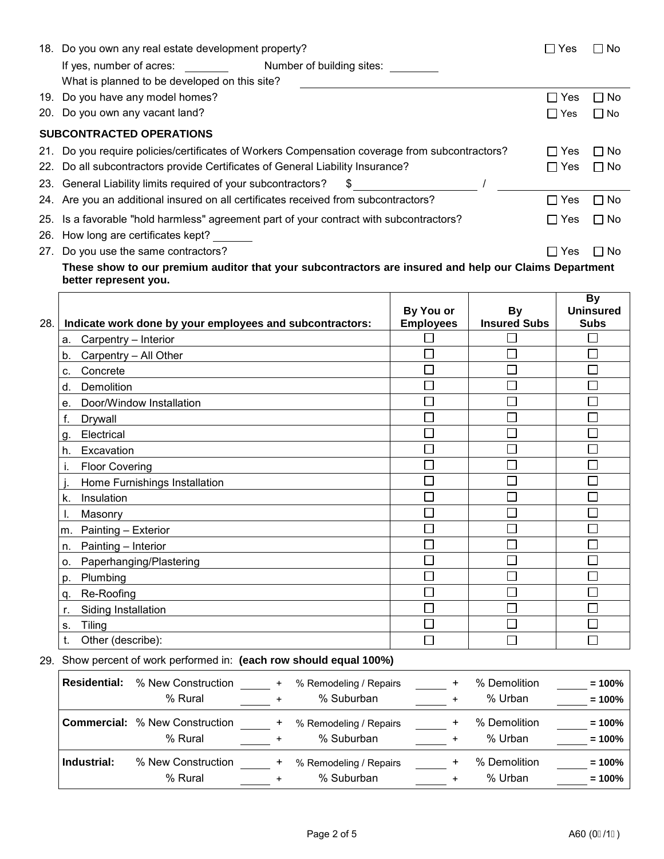|     | 18. Do you own any real estate development property?                                           | Yes                   | $\Box$ No |
|-----|------------------------------------------------------------------------------------------------|-----------------------|-----------|
|     | Number of building sites:<br>If yes, number of acres:                                          |                       |           |
|     | What is planned to be developed on this site?                                                  |                       |           |
|     | 19. Do you have any model homes?                                                               | $\blacksquare$<br>Yes | □ No      |
| 20. | Do you own any vacant land?                                                                    | ΙI<br>Yes             | $\Box$ No |
|     | <b>SUBCONTRACTED OPERATIONS</b>                                                                |                       |           |
|     | 21. Do you require policies/certificates of Workers Compensation coverage from subcontractors? | Yes<br>$\mathbf{I}$   | $\Box$ No |
|     | 22. Do all subcontractors provide Certificates of General Liability Insurance?                 | $\Box$ Yes            | $\Box$ No |
|     | 23. General Liability limits required of your subcontractors?<br>S.                            |                       |           |
|     | 24. Are you an additional insured on all certificates received from subcontractors?            | l I Yes               | $\Box$ No |
|     | 25. Is a favorable "hold harmless" agreement part of your contract with subcontractors?        | $\Box$ Yes            | $\Box$ No |
| 26. | How long are certificates kept?                                                                |                       |           |
|     | 27. Do you use the same contractors?                                                           | Yes                   | l No      |

**These show to our premium auditor that your subcontractors are insured and help our Claims Department better represent you.**

|     |                                                          |                  |                     | <b>By</b>        |
|-----|----------------------------------------------------------|------------------|---------------------|------------------|
|     |                                                          | By You or        | <b>By</b>           | <b>Uninsured</b> |
| 28. | Indicate work done by your employees and subcontractors: | <b>Employees</b> | <b>Insured Subs</b> | <b>Subs</b>      |
|     | Carpentry - Interior<br>a.                               |                  |                     |                  |
|     | Carpentry - All Other<br>b.                              |                  |                     |                  |
|     | Concrete<br>c.                                           |                  |                     |                  |
|     | Demolition<br>d.                                         |                  |                     |                  |
|     | Door/Window Installation<br>е.                           |                  |                     | J.               |
|     | f.<br>Drywall                                            |                  |                     |                  |
|     | Electrical<br>g.                                         |                  |                     | ┌                |
|     | Excavation<br>h.                                         |                  |                     |                  |
|     | <b>Floor Covering</b><br>ı.                              |                  |                     | Ξ                |
|     | Home Furnishings Installation                            |                  |                     |                  |
|     | Insulation<br>k.                                         |                  |                     | Г                |
|     | Masonry<br>۱.                                            |                  |                     | Г                |
|     | Painting - Exterior<br>m.                                |                  |                     |                  |
|     | Painting - Interior<br>n.                                |                  |                     |                  |
|     | Paperhanging/Plastering<br>0.                            |                  |                     |                  |
|     | Plumbing<br>p.                                           |                  |                     |                  |
|     | Re-Roofing<br>q.                                         |                  |                     |                  |
|     | Siding Installation<br>r.                                |                  |                     |                  |
|     | <b>Tiling</b><br>S.                                      |                  |                     |                  |
|     | Other (describe):<br>t.                                  |                  |                     |                  |

## 29. Show percent of work performed in: **(each row should equal 100%)**

| <b>Residential:</b> | % New Construction<br>% Rural                    | % Remodeling / Repairs<br>% Suburban |  | % Demolition<br>% Urban | $= 100%$<br>$= 100%$ |
|---------------------|--------------------------------------------------|--------------------------------------|--|-------------------------|----------------------|
|                     | <b>Commercial: % New Construction</b><br>% Rural | % Remodeling / Repairs<br>% Suburban |  | % Demolition<br>% Urban | $= 100%$<br>$= 100%$ |
| Industrial:         | % New Construction<br>% Rural                    | % Remodeling / Repairs<br>% Suburban |  | % Demolition<br>% Urban | $= 100%$<br>$= 100%$ |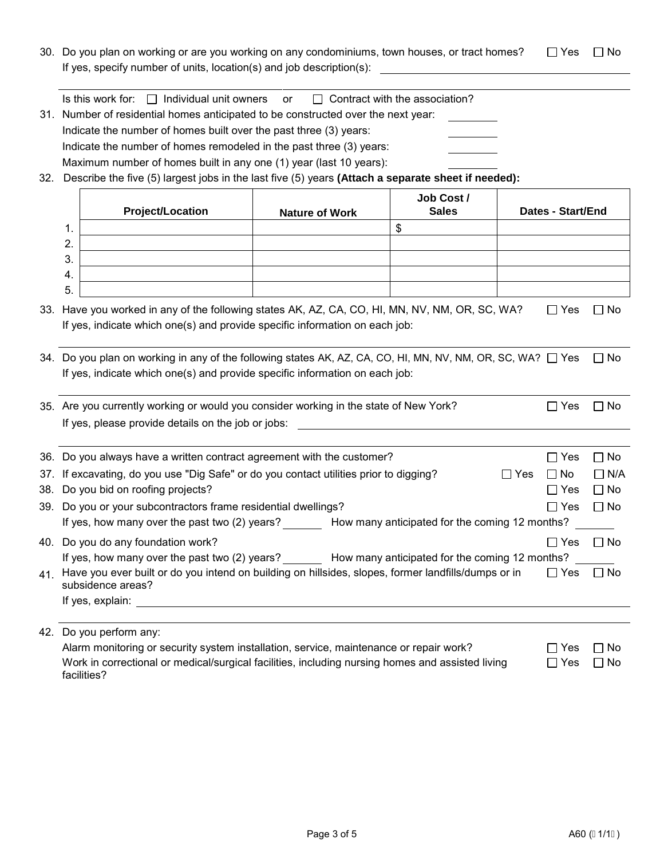30. Do you plan on working or are you working on any condominiums, town houses, or tract homes?  $\Box$  Yes  $\Box$  No If yes, specify number of units, location(s) and job description(s):

|  | Is this work for: $\Box$ Individual unit owners $\circ$ |  | $\Box$ Contract with the association? |
|--|---------------------------------------------------------|--|---------------------------------------|
|--|---------------------------------------------------------|--|---------------------------------------|

- 31. Number of residential homes anticipated to be constructed over the next year: Indicate the number of homes built over the past three (3) years: Indicate the number of homes remodeled in the past three (3) years: Maximum number of homes built in any one (1) year (last 10 years):
- 32. Describe the five (5) largest jobs in the last five (5) years **(Attach a separate sheet if needed):**

|     |               | <b>Project/Location</b>                                                                                                                                                                    | <b>Nature of Work</b> | Job Cost/<br><b>Sales</b> | <b>Dates - Start/End</b> |            |
|-----|---------------|--------------------------------------------------------------------------------------------------------------------------------------------------------------------------------------------|-----------------------|---------------------------|--------------------------|------------|
|     | $\mathbf 1$ . |                                                                                                                                                                                            |                       | \$                        |                          |            |
|     | 2.            |                                                                                                                                                                                            |                       |                           |                          |            |
|     | 3.            |                                                                                                                                                                                            |                       |                           |                          |            |
|     | 4.            |                                                                                                                                                                                            |                       |                           |                          |            |
|     | 5.            |                                                                                                                                                                                            |                       |                           |                          |            |
|     |               | 33. Have you worked in any of the following states AK, AZ, CA, CO, HI, MN, NV, NM, OR, SC, WA?                                                                                             |                       |                           | $\Box$ Yes               | ∩ No       |
|     |               | If yes, indicate which one(s) and provide specific information on each job:                                                                                                                |                       |                           |                          |            |
|     |               | 34. Do you plan on working in any of the following states AK, AZ, CA, CO, HI, MN, NV, NM, OR, SC, WA? □ Yes<br>If yes, indicate which one(s) and provide specific information on each job: |                       |                           |                          | $\Box$ No  |
|     |               | 35. Are you currently working or would you consider working in the state of New York?<br>If yes, please provide details on the job or jobs:                                                |                       |                           | $\Box$ Yes               | □ No       |
|     |               | 36. Do you always have a written contract agreement with the customer?                                                                                                                     |                       |                           | $\Box$ Yes               | $\Box$ No  |
|     |               | 37. If excavating, do you use "Dig Safe" or do you contact utilities prior to digging?                                                                                                     |                       |                           | $\Box$ Yes<br>$\Box$ No  | $\Box$ N/A |
|     |               | 38. Do you bid on roofing projects?                                                                                                                                                        |                       |                           | $\Box$ Yes               | $\Box$ No  |
|     |               | 39. Do you or your subcontractors frame residential dwellings?                                                                                                                             |                       |                           | $\Box$ Yes               | $\Box$ No  |
|     |               | If yes, how many over the past two (2) years? How many anticipated for the coming 12 months?                                                                                               |                       |                           |                          |            |
| 40. |               | Do you do any foundation work?                                                                                                                                                             |                       |                           | $\Box$ Yes               | $\Box$ No  |
|     |               | If yes, how many over the past two (2) years? How many anticipated for the coming 12 months?                                                                                               |                       |                           |                          |            |
| 41. |               | Have you ever built or do you intend on building on hillsides, slopes, former landfills/dumps or in<br>subsidence areas?                                                                   |                       |                           | $\Box$ Yes               | $\Box$ No  |
|     |               | If yes, explain:                                                                                                                                                                           |                       |                           |                          |            |

42. Do you perform any:

| Alarm monitoring or security system installation, service, maintenance or repair work?           | $\Box$ Yes $\Box$ No |           |
|--------------------------------------------------------------------------------------------------|----------------------|-----------|
| Work in correctional or medical/surgical facilities, including nursing homes and assisted living | $\Box$ Yes           | $\Box$ No |
| facilities?                                                                                      |                      |           |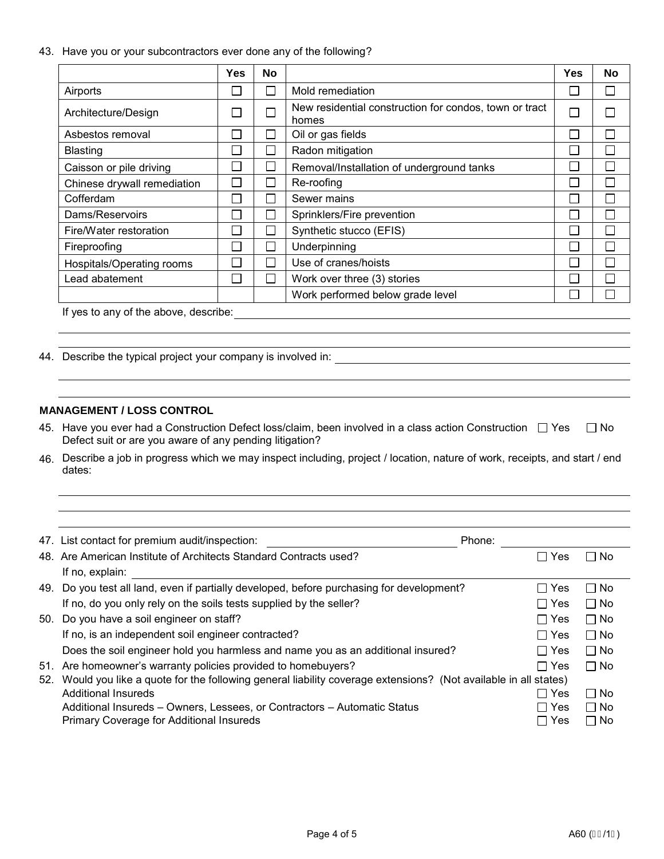43. Have you or your subcontractors ever done any of the following?

|                                       | <b>Yes</b>     | No |                                                                 | Yes | <b>No</b> |
|---------------------------------------|----------------|----|-----------------------------------------------------------------|-----|-----------|
| Airports                              |                |    | Mold remediation                                                |     |           |
| Architecture/Design                   |                |    | New residential construction for condos, town or tract<br>homes |     |           |
| Asbestos removal                      |                |    | Oil or gas fields                                               |     |           |
| <b>Blasting</b>                       | m.             |    | Radon mitigation                                                |     |           |
| Caisson or pile driving               |                |    | Removal/Installation of underground tanks                       |     |           |
| Chinese drywall remediation           | <b>College</b> |    | Re-roofing                                                      |     |           |
| Cofferdam                             | m.             |    | Sewer mains                                                     |     |           |
| Dams/Reservoirs                       | ×.             |    | Sprinklers/Fire prevention                                      |     |           |
| Fire/Water restoration                |                |    | Synthetic stucco (EFIS)                                         |     |           |
| Fireproofing                          |                |    | Underpinning                                                    |     |           |
| Hospitals/Operating rooms             |                |    | Use of cranes/hoists                                            |     |           |
| Lead abatement                        |                |    | Work over three (3) stories                                     |     |           |
|                                       |                |    | Work performed below grade level                                |     |           |
| If yes to any of the above, describe: |                |    |                                                                 |     |           |

44. Describe the typical project your company is involved in:

## **MANAGEMENT / LOSS CONTROL**

- 45. Have you ever had a Construction Defect loss/claim, been involved in a class action Construction  $\;\;\Box\;Y$ es  $\;\;\Box\;$ No Defect suit or are you aware of any pending litigation?
- 46. Describe a job in progress which we may inspect including, project / location, nature of work, receipts, and start / end dates:

|     | 47. List contact for premium audit/inspection:                                                                | Phone:                |              |
|-----|---------------------------------------------------------------------------------------------------------------|-----------------------|--------------|
|     | 48. Are American Institute of Architects Standard Contracts used?                                             | Yes<br>$\blacksquare$ | ∩ No         |
|     | If no, explain:                                                                                               |                       |              |
|     | 49. Do you test all land, even if partially developed, before purchasing for development?                     | ⊟ Yes                 | $\Box$ No    |
|     | If no, do you only rely on the soils tests supplied by the seller?                                            | $\sqcap$ Yes          | $\Box$ No    |
|     | 50. Do you have a soil engineer on staff?                                                                     | $\Box$ Yes            | $\Box$ No    |
|     | If no, is an independent soil engineer contracted?                                                            | $\sqcap$ Yes          | $\Box$ No    |
|     | Does the soil engineer hold you harmless and name you as an additional insured?                               | $\Box$ Yes            | $\square$ No |
|     | 51. Are homeowner's warranty policies provided to homebuyers?                                                 | $\sqcap$ Yes          | $\Box$ No    |
| 52. | Would you like a quote for the following general liability coverage extensions? (Not available in all states) |                       |              |
|     | Additional Insureds                                                                                           | $\sqcap$ Yes          | $\Box$ No    |
|     | Additional Insureds – Owners, Lessees, or Contractors – Automatic Status                                      | $\sqcap$ Yes          | $\Box$ No    |
|     | <b>Primary Coverage for Additional Insureds</b>                                                               | Yes                   | $\Box$ No    |